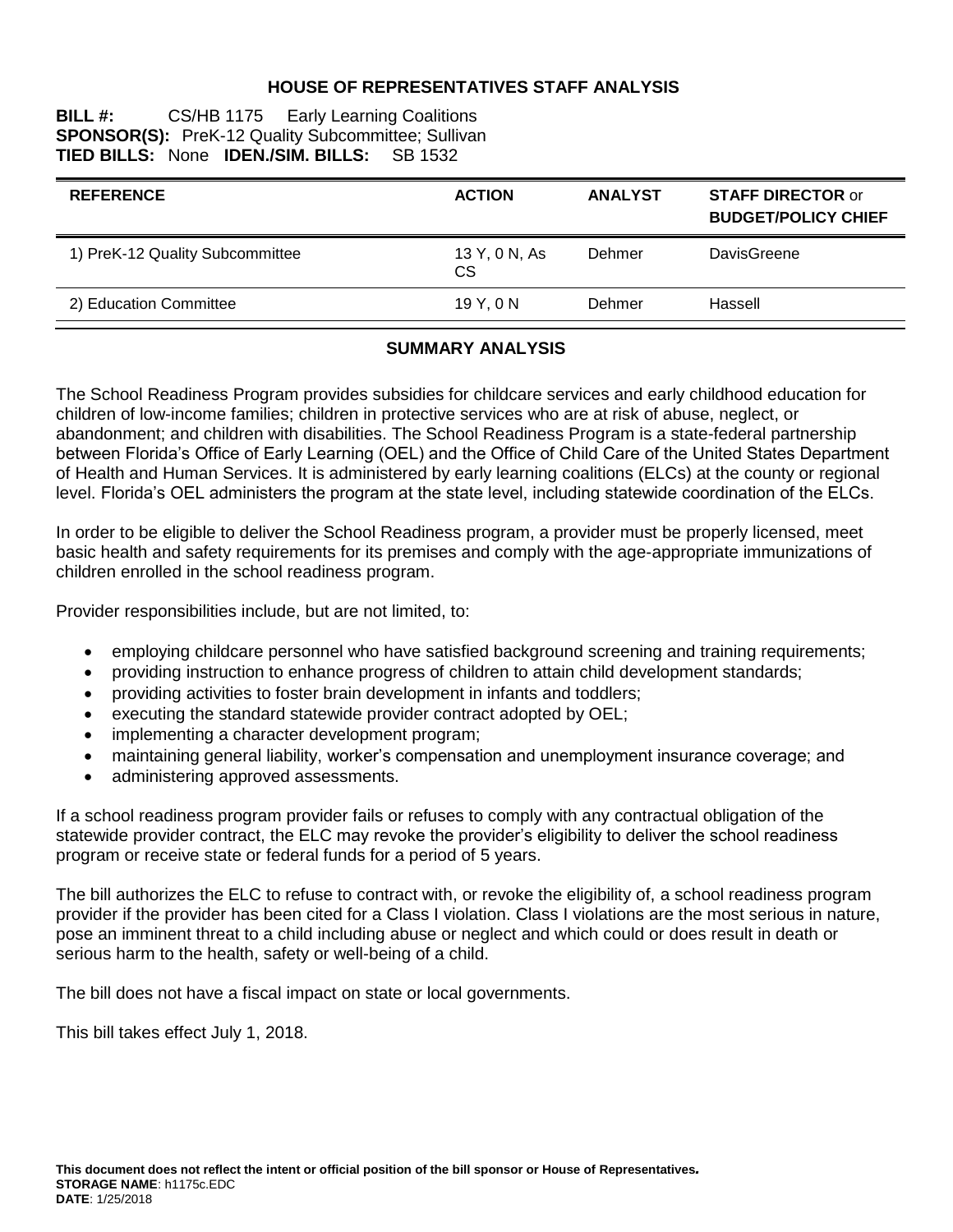### **HOUSE OF REPRESENTATIVES STAFF ANALYSIS**

#### **BILL #:** CS/HB 1175 Early Learning Coalitions **SPONSOR(S):** PreK-12 Quality Subcommittee; Sullivan TIED BILLS: None IDEN./SIM. BILLS: SB 1532 **TIED BILLS: None IDEN./SIM. BILLS:**

| <b>REFERENCE</b>                | <b>ACTION</b>        | <b>ANALYST</b> | <b>STAFF DIRECTOR or</b><br><b>BUDGET/POLICY CHIEF</b> |
|---------------------------------|----------------------|----------------|--------------------------------------------------------|
| 1) PreK-12 Quality Subcommittee | 13 Y, 0 N, As<br>CS. | Dehmer         | DavisGreene                                            |
| 2) Education Committee          | 19 Y, 0 N            | Dehmer         | Hassell                                                |

#### **SUMMARY ANALYSIS**

The School Readiness Program provides subsidies for childcare services and early childhood education for children of low-income families; children in protective services who are at risk of abuse, neglect, or abandonment; and children with disabilities. The School Readiness Program is a state-federal partnership between Florida's Office of Early Learning (OEL) and the Office of Child Care of the United States Department of Health and Human Services. It is administered by early learning coalitions (ELCs) at the county or regional level. Florida's OEL administers the program at the state level, including statewide coordination of the ELCs.

In order to be eligible to deliver the School Readiness program, a provider must be properly licensed, meet basic health and safety requirements for its premises and comply with the age-appropriate immunizations of children enrolled in the school readiness program.

Provider responsibilities include, but are not limited, to:

- employing childcare personnel who have satisfied background screening and training requirements;
- providing instruction to enhance progress of children to attain child development standards;
- providing activities to foster brain development in infants and toddlers;
- executing the standard statewide provider contract adopted by OEL;
- implementing a character development program;
- maintaining general liability, worker's compensation and unemployment insurance coverage; and
- administering approved assessments.

If a school readiness program provider fails or refuses to comply with any contractual obligation of the statewide provider contract, the ELC may revoke the provider's eligibility to deliver the school readiness program or receive state or federal funds for a period of 5 years.

The bill authorizes the ELC to refuse to contract with, or revoke the eligibility of, a school readiness program provider if the provider has been cited for a Class I violation. Class I violations are the most serious in nature, pose an imminent threat to a child including abuse or neglect and which could or does result in death or serious harm to the health, safety or well-being of a child.

The bill does not have a fiscal impact on state or local governments.

This bill takes effect July 1, 2018.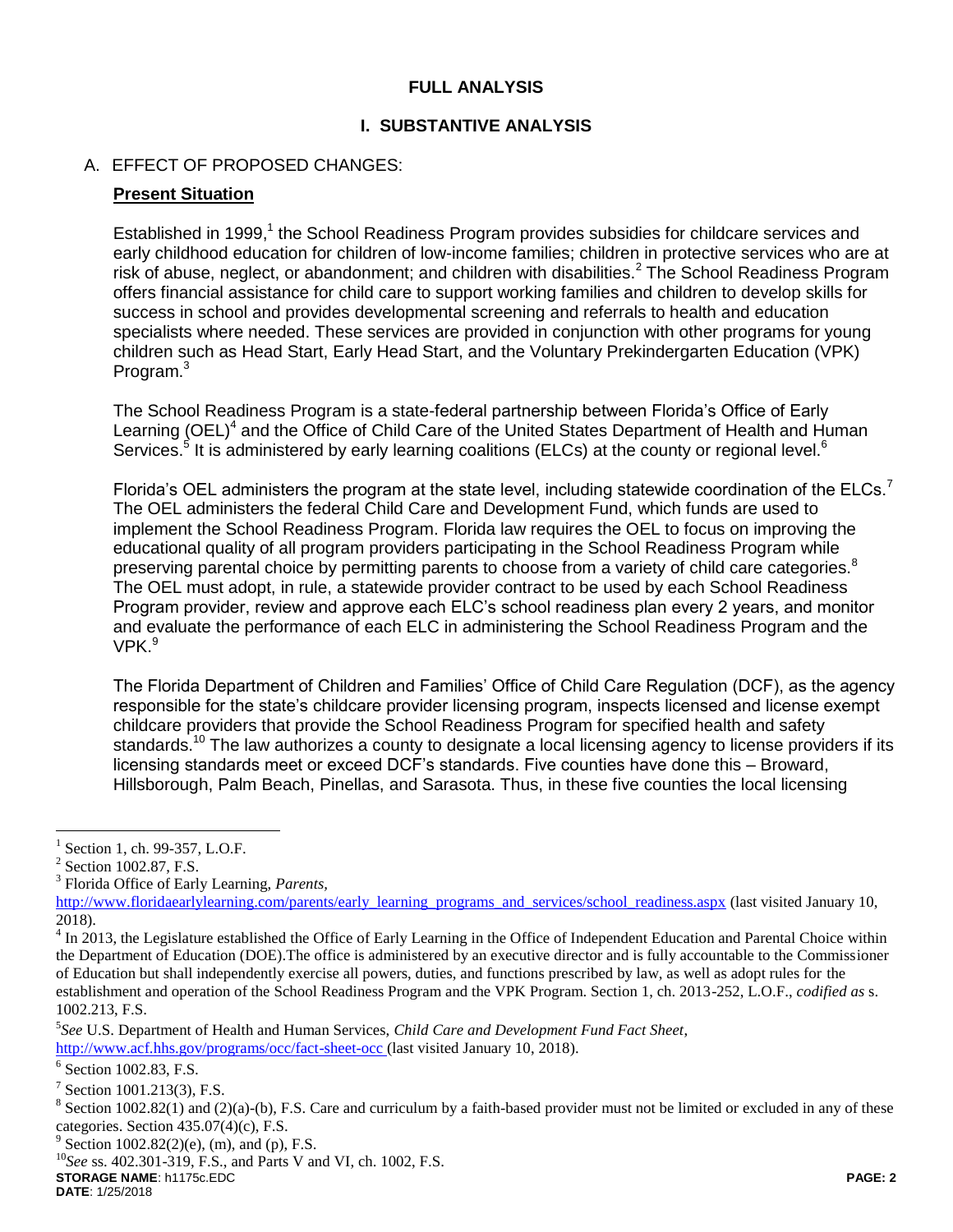## **FULL ANALYSIS**

## **I. SUBSTANTIVE ANALYSIS**

## A. EFFECT OF PROPOSED CHANGES:

### **Present Situation**

Established in 1999,<sup>1</sup> the School Readiness Program provides subsidies for childcare services and early childhood education for children of low-income families; children in protective services who are at risk of abuse, neglect, or abandonment; and children with disabilities.<sup>2</sup> The School Readiness Program offers financial assistance for child care to support working families and children to develop skills for success in school and provides developmental screening and referrals to health and education specialists where needed. These services are provided in conjunction with other programs for young children such as Head Start, Early Head Start, and the Voluntary Prekindergarten Education (VPK) Program.<sup>3</sup>

The School Readiness Program is a state-federal partnership between Florida's Office of Early Learning (OEL)<sup>4</sup> and the Office of Child Care of the United States Department of Health and Human Services.<sup>5</sup> It is administered by early learning coalitions (ELCs) at the county or regional level.<sup>6</sup>

Florida's OEL administers the program at the state level, including statewide coordination of the ELCs.<sup>7</sup> The OEL administers the federal Child Care and Development Fund, which funds are used to implement the School Readiness Program. Florida law requires the OEL to focus on improving the educational quality of all program providers participating in the School Readiness Program while preserving parental choice by permitting parents to choose from a variety of child care categories.<sup>8</sup> The OEL must adopt, in rule, a statewide provider contract to be used by each School Readiness Program provider, review and approve each ELC's school readiness plan every 2 years, and monitor and evaluate the performance of each ELC in administering the School Readiness Program and the VPK. 9

The Florida Department of Children and Families' Office of Child Care Regulation (DCF), as the agency responsible for the state's childcare provider licensing program, inspects licensed and license exempt childcare providers that provide the School Readiness Program for specified health and safety standards.<sup>10</sup> The law authorizes a county to designate a local licensing agency to license providers if its licensing standards meet or exceed DCF's standards. Five counties have done this – Broward, Hillsborough, Palm Beach, Pinellas, and Sarasota. Thus, in these five counties the local licensing

 $\overline{a}$ 

**STORAGE NAME**: h1175c.EDC **PAGE: 2 DATE**: 1/25/2018

<sup>&</sup>lt;sup>1</sup> Section 1, ch. 99-357, L.O.F.

<sup>&</sup>lt;sup>2</sup> Section 1002.87, F.S.

<sup>3</sup> Florida Office of Early Learning, *Parents,*

[http://www.floridaearlylearning.com/parents/early\\_learning\\_programs\\_and\\_services/school\\_readiness.aspx](http://www.floridaearlylearning.com/parents/early_learning_programs_and_services/school_readiness.aspx) (last visited January 10, 2018).

 $4 \text{ In } 2013$ , the Legislature established the Office of Early Learning in the Office of Independent Education and Parental Choice within the Department of Education (DOE).The office is administered by an executive director and is fully accountable to the Commissioner of Education but shall independently exercise all powers, duties, and functions prescribed by law, as well as adopt rules for the establishment and operation of the School Readiness Program and the VPK Program. Section 1, ch. 2013-252, L.O.F., *codified as* s. 1002.213, F.S.

<sup>5</sup> *See* U.S. Department of Health and Human Services, *Child Care and Development Fund Fact Sheet*, <http://www.acf.hhs.gov/programs/occ/fact-sheet-occ> (last visited January 10, 2018).

<sup>6</sup> Section 1002.83, F.S*.*

 $7$  Section 1001.213(3), F.S.

<sup>&</sup>lt;sup>8</sup> Section 1002.82(1) and (2)(a)-(b), F.S. Care and curriculum by a faith-based provider must not be limited or excluded in any of these categories. Section 435.07(4)(c), F.S.

 $9^9$  Section 1002.82(2)(e), (m), and (p), F.S.

<sup>10</sup>*See* ss. 402.301-319, F.S., and Parts V and VI, ch. 1002, F.S.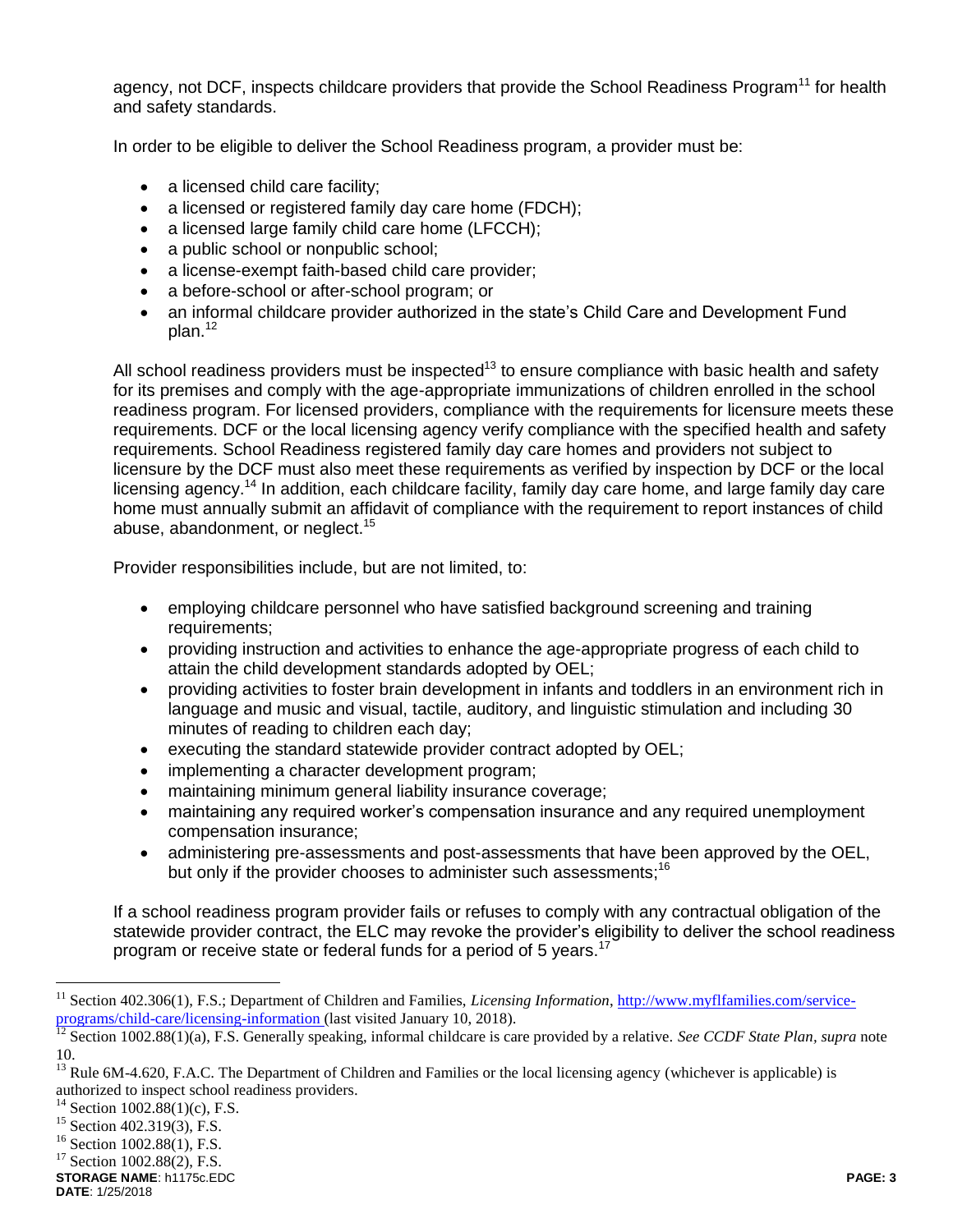agency, not DCF, inspects childcare providers that provide the School Readiness Program<sup>11</sup> for health and safety standards.

In order to be eligible to deliver the School Readiness program, a provider must be:

- a licensed child care facility;
- a licensed or registered family day care home (FDCH);
- a licensed large family child care home (LFCCH);
- a public school or nonpublic school;
- a license-exempt faith-based child care provider;
- a before-school or after-school program; or
- an informal childcare provider authorized in the state's Child Care and Development Fund  $plan.<sup>12</sup>$

All school readiness providers must be inspected<sup>13</sup> to ensure compliance with basic health and safety for its premises and comply with the age-appropriate immunizations of children enrolled in the school readiness program. For licensed providers, compliance with the requirements for licensure meets these requirements. DCF or the local licensing agency verify compliance with the specified health and safety requirements. School Readiness registered family day care homes and providers not subject to licensure by the DCF must also meet these requirements as verified by inspection by DCF or the local licensing agency.<sup>14</sup> In addition, each childcare facility, family day care home, and large family day care home must annually submit an affidavit of compliance with the requirement to report instances of child abuse, abandonment, or neglect.<sup>15</sup>

Provider responsibilities include, but are not limited, to:

- employing childcare personnel who have satisfied background screening and training requirements;
- providing instruction and activities to enhance the age-appropriate progress of each child to attain the child development standards adopted by OEL;
- providing activities to foster brain development in infants and toddlers in an environment rich in language and music and visual, tactile, auditory, and linguistic stimulation and including 30 minutes of reading to children each day;
- executing the standard statewide provider contract adopted by OEL;
- implementing a character development program;
- maintaining minimum general liability insurance coverage;
- maintaining any required worker's compensation insurance and any required unemployment compensation insurance;
- administering pre-assessments and post-assessments that have been approved by the OEL, but only if the provider chooses to administer such assessments;<sup>16</sup>

If a school readiness program provider fails or refuses to comply with any contractual obligation of the statewide provider contract, the ELC may revoke the provider's eligibility to deliver the school readiness program or receive state or federal funds for a period of 5 years.<sup>17</sup>

 $\overline{a}$ 

<sup>&</sup>lt;sup>11</sup> Section 402.306(1), F.S.; Department of Children and Families, *Licensing Information*[, http://www.myflfamilies.com/service](http://www.myflfamilies.com/service-programs/child-care/licensing-information)[programs/child-care/licensing-information](http://www.myflfamilies.com/service-programs/child-care/licensing-information) (last visited January 10, 2018).

<sup>&</sup>lt;sup>12</sup> Section 1002.88(1)(a), F.S. Generally speaking, informal childcare is care provided by a relative. *See CCDF State Plan, supra* note 10.

<sup>&</sup>lt;sup>13</sup> Rule 6M-4.620, F.A.C. The Department of Children and Families or the local licensing agency (whichever is applicable) is authorized to inspect school readiness providers.

<sup>&</sup>lt;sup>14</sup> Section 1002.88(1)(c), F.S.

<sup>&</sup>lt;sup>15</sup> Section 402.319(3), F.S.

 $16$  Section 1002.88(1), F.S.

 $17$  Section 1002.88(2), F.S.

**STORAGE NAME**: h1175c.EDC **PAGE: 3**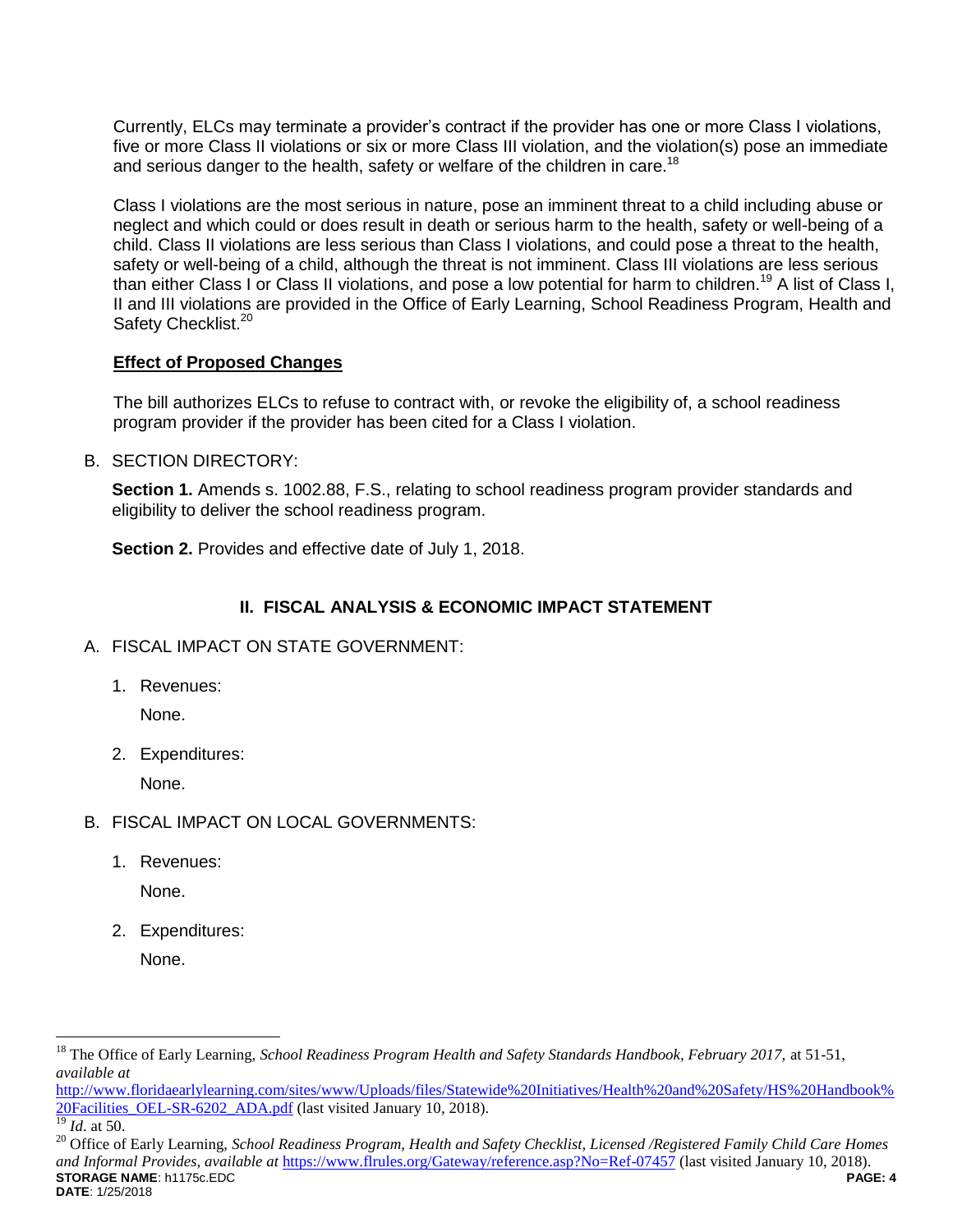Currently, ELCs may terminate a provider's contract if the provider has one or more Class I violations, five or more Class II violations or six or more Class III violation, and the violation(s) pose an immediate and serious danger to the health, safety or welfare of the children in care.<sup>18</sup>

Class I violations are the most serious in nature, pose an imminent threat to a child including abuse or neglect and which could or does result in death or serious harm to the health, safety or well-being of a child. Class II violations are less serious than Class I violations, and could pose a threat to the health, safety or well-being of a child, although the threat is not imminent. Class III violations are less serious than either Class I or Class II violations, and pose a low potential for harm to children.<sup>19</sup> A list of Class I, II and III violations are provided in the Office of Early Learning, School Readiness Program, Health and Safety Checklist.<sup>20</sup>

#### **Effect of Proposed Changes**

The bill authorizes ELCs to refuse to contract with, or revoke the eligibility of, a school readiness program provider if the provider has been cited for a Class I violation.

B. SECTION DIRECTORY:

**Section 1.** Amends s. 1002.88, F.S., relating to school readiness program provider standards and eligibility to deliver the school readiness program.

**Section 2.** Provides and effective date of July 1, 2018.

## **II. FISCAL ANALYSIS & ECONOMIC IMPACT STATEMENT**

- A. FISCAL IMPACT ON STATE GOVERNMENT:
	- 1. Revenues:

None.

2. Expenditures:

None.

- B. FISCAL IMPACT ON LOCAL GOVERNMENTS:
	- 1. Revenues:

None.

- 2. Expenditures:
	- None.

[http://www.floridaearlylearning.com/sites/www/Uploads/files/Statewide%20Initiatives/Health%20and%20Safety/HS%20Handbook%](http://www.floridaearlylearning.com/sites/www/Uploads/files/Statewide%20Initiatives/Health%20and%20Safety/HS%20Handbook%20Facilities_OEL-SR-6202_ADA.pdf) [20Facilities\\_OEL-SR-6202\\_ADA.pdf](http://www.floridaearlylearning.com/sites/www/Uploads/files/Statewide%20Initiatives/Health%20and%20Safety/HS%20Handbook%20Facilities_OEL-SR-6202_ADA.pdf) (last visited January 10, 2018).

 $\overline{a}$ 

<sup>18</sup> The Office of Early Learning, *School Readiness Program Health and Safety Standards Handbook, February 2017,* at 51-51, *available at* 

*Id.* at 50.

**STORAGE NAME**: h1175c.EDC **PAGE: 4 DATE**: 1/25/2018 <sup>20</sup> Office of Early Learning, *School Readiness Program, Health and Safety Checklist, Licensed /Registered Family Child Care Homes and Informal Provides, available at* <https://www.flrules.org/Gateway/reference.asp?No=Ref-07457> (last visited January 10, 2018).